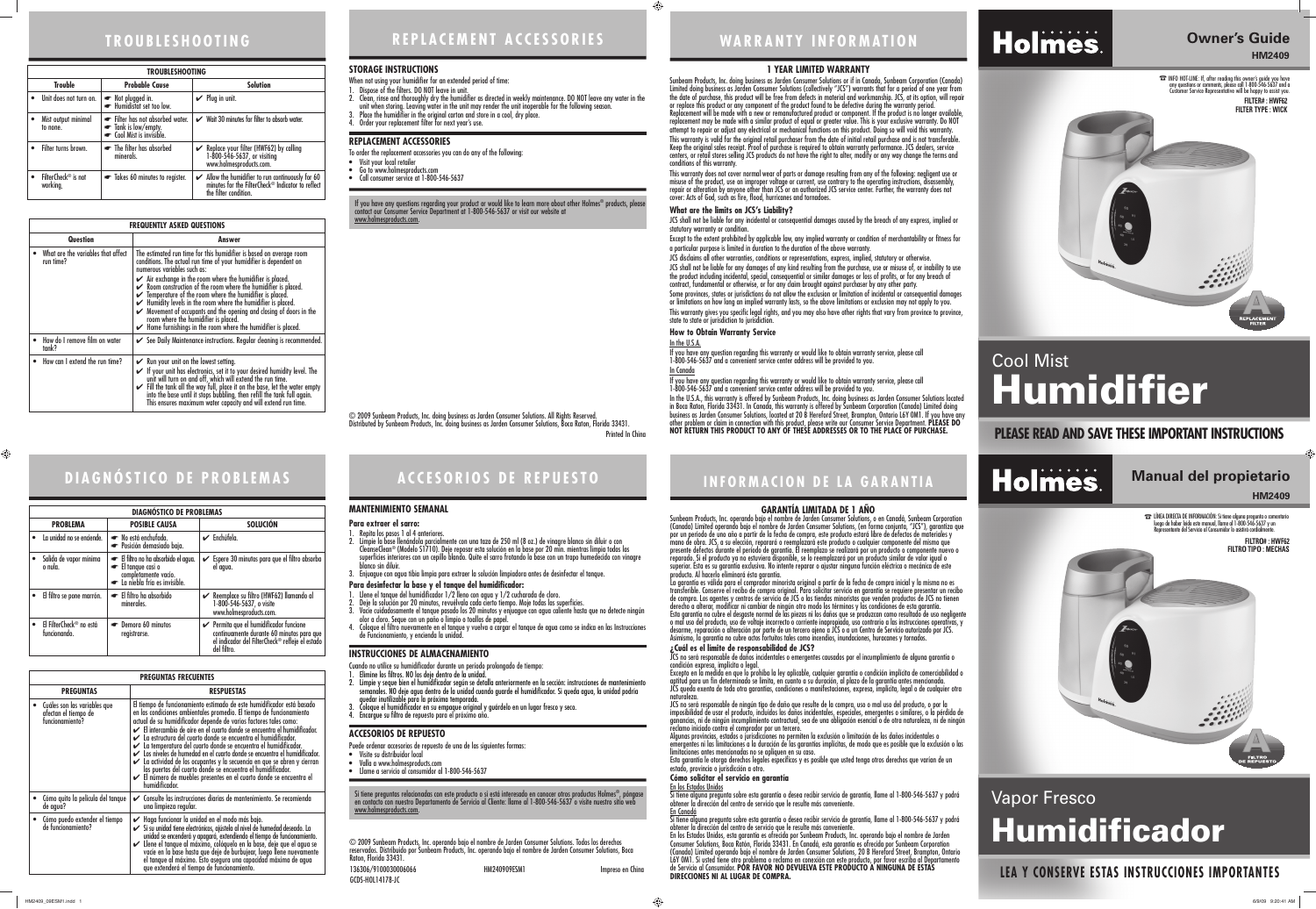## **WARRANTY INFORMATION**

## **INFORMACION DE LA GARANTIA**

#### **1 YEAR LIMITED WARRANTY**

Sunbeam Products, Inc. doing business as Jarden Consumer Solutions or if in Canada, Sunbeam Corporation (Canada) Limited doing business as Jarden Consumer Solutions (collectively "JCS") warrants that for a period of one year from the date of purchase, this product will be free from defects in material and workmanship. JCS, at its option, will repair or replace this product or any component of the product found to be defective during the warranty period.

Replacement will be made with a new or remanufactured product or component. If the product is no longer available, replacement may be made with a similar product of equal or greater value. This is your exclusive warranty. Do NOT attempt to repair or adjust any electrical or mechanical functions on this product. Doing so will void this warranty. This warranty is valid for the original retail purchaser from the date of initial retail purchase and is not transferable.

Keep the original sales receipt. Proof of purchase is required to obtain warranty performance. JCS dealers, service centers, or retail stores selling JCS products do not have the right to alter, modify or any way change the terms and



 $\bigoplus$ 

This warranty does not cover normal wear of parts or damage resulting from any of the following: negligent use or misuse of the product, use on improper voltage or current, use contrary to the operating instructions, disassembly, repair or alteration by anyone other than JCS or an authorized JCS service center. Further, the warranty does not cover: Acts of God, such as fire, flood, hurricanes and tornadoes.

#### **What are the limits on JCS's Liability?**

JCS shall not be liable for any incidental or consequential damages caused by the breach of any express, implied or statutory warranty or condition.

Except to the extent prohibited by applicable law, any implied warranty or condition of merchantability or fitness for a particular purpose is limited in duration to the duration of the above warranty.

JCS disclaims all other warranties, conditions or representations, express, implied, statutory or otherwise.

JCS shall not be liable for any damages of any kind resulting from the purchase, use or misuse of, or inability to use the product including incidental, special, consequential or similar damages or loss of profits, or for any breach of contract, fundamental or otherwise, or for any claim brought against purchaser by any other party.

Some provinces, states or jurisdictions do not allow the exclusion or limitation of incidental or consequential damages or limitations on how long an implied warranty lasts, so the above limitations or exclusion may not apply to you. This warranty gives you specific legal rights, and you may also have other rights that vary from province to province, state to state or jurisdiction to jurisdiction.

#### **How to Obtain Warranty Service**

In the U.S.A.

If you have any question regarding this warranty or would like to obtain warranty service, please call 1-800-546-5637 and a convenient service center address will be provided to you.

In Canada

If you have any question regarding this warranty or would like to obtain warranty service, please call 1-800-546-5637 and a convenient service center address will be provided to you.

In the U.S.A., this warranty is offered by Sunbeam Products, Inc. doing business as Jarden Consumer Solutions located in Boca Raton, Florida 33431. In Canada, this warranty is offered by Sunbeam Corporation (Canada) Limited doing business as Jarden Consumer Solutions, located at 20 B Hereford Street, Brampton, Ontario L6Y 0M1. If you have any other problem or claim in connection with this product, please write our Consumer Service Department. **PLEASE DO NOT RETURN THIS PRODUCT TO ANY OF THESE ADDRESSES OR TO THE PLACE OF PURCHASE.**

 Si tiene alguna pregunta sobre esta garantía o desea recibir servicio de garantía, llame al 1-800-546-5637 y podrá obtener la dirección del centro de servicio que le resulte más convenient

© 2009 Sunbeam Products, Inc. doing business as Jarden Consumer Solutions. All Rights Reserved. Distributed by Sunbeam Products, Inc. doing business as Jarden Consumer Solutions, Boca Raton, Florida 33431.

Printed In China

## **TROUBLESHOOTING**

## **DIAGNÓSTICO DE PROBLEMAS**

⊕

136306/9100030006066 HM240909ESM1 Impreso en China GCDS-HOL14178-JC

© 2009 Sunbeam Products, Inc. operando bajo el nombre de Jarden Consumer Solutions. Todos los derechos reservados. Distribuido por Sunbeam Products, Inc. operando bajo el nombre de Jarden Consumer Solutions, Boca Raton, Florida 33431.

#### **GARANTÍA LIMITADA DE 1 AÑO**

Sunbeam Products, Inc. operando bajo el nombre de Jarden Consumer Solutions, o en Canadá, Sunbeam Corporation (Canada) Limited operando bajo el nombre de Jarden Consumer Solutions, (en forma conjunta, "JCS"), garantiza que por un período de uno año a partir de la fecha de compra, este producto estará libre de defectos de materiales y mano de obra. JCS, a su elección, reparará o reemplazará este producto o cualquier componente del mismo que presente defectos durante el período de garantía. El reemplazo se realizará por un producto o componente nuevo o reparado. Si el producto ya no estuviera disponible, se lo reemplazará por un producto similar de valor igual o superior. Ésta es su garantía exclusiva. No intente reparar o ajustar ninguna función eléctrica o mecánica de este

La garantía es válida para el comprador minorista original a partir de la fecha de compra inicial y la misma no es transferible. Conserve el recibo de compra original. Para solicitar servicio en garantía se requiere presentar un recibo de compra. Los agentes y centros de servicio de JCS o las tiendas minoristas que venden productos de JCS no tienen derecho a alterar, modificar ni cambiar de ningún otro modo los términos y las condiciones de esta garantía.

producto. Al hacerlo elimínará ésta garantía.  **¿Cuál es el límite de responsabilidad de JCS?**  condición expresa, implícita o legal.

Esta garantía no cubre el desgaste normal de las piezas ni los daños que se produzcan como resultado de uso negligente o mal uso del producto, uso de voltaje incorrecto o corriente inapropiada, uso contrario a las instrucciones operativas, y desarme, reparación o alteración por parte de un tercero ajeno a JCS o a un Centro de Servicio autorizado por JCS. Asimismo, la garantía no cubre actos fortuitos tales como incendios, inundaciones, huracanes y tornados.

- To order the replacement accessories you can do any of the following:
- Visit your local retailer
- Go to www.holmesproducts.com • Call consumer service at 1-800-546-5637
- 

 JCS no será responsable de daños incidentales o emergentes causados por el incumplimiento de alguna garantía o Excepto en la medida en que lo prohíba la ley aplicable, cualquier garantía o condición implícita de comerciabilidad o

Si tiene preguntas relacionadas con este producto o si está interesado en conocer otros productos Holmes®, póngas en contacto con nuestro Departamento de Servicio al Cliente: llame al 1-800-546-5637 o visite nuestro sitio web www.holmesproducts.com.

aptitud para un fin determinado se limita, en cuanto a su duración, al plazo de la garantía antes mencionada. JCS queda exenta de toda otra garantías, condiciones o manifestaciones, expresa, implícita, legal o de cualquier otra

naturaleza.

JCS no será responsable de ningún tipo de daño que resulte de la compra, uso o mal uso del producto, o por la imposibilidad de usar el producto, incluidos los daños incidentales, especiales, emergentes o similares, o la pérdida de ganancias, ni de ningún incumplimiento contractual, sea de una obligación esencial o de otra naturaleza, ni de ningún reclamo iniciado contra el comprador por un tercero.

Algunas provincias, estados o jurisdicciones no permiten la exclusión o limitación de los daños incidentales o emergentes ni las limitaciones a la duración de las garantías implícitas, de modo que es posible que la exclusión o las limitaciones antes mencionadas no se apliquen en su caso.

Esta garantía le otorga derechos legales específicos y es posible que usted tenga otros derechos que varían de un

estado, provincia o jurisdicción a otro.  **Cómo solicitar el servicio en garantía**  En los Estados Unidos En Canadá

 Si tiene alguna pregunta sobre esta garantía o desea recibir servicio de garantía, llame al 1-800-546-5637 y podrá obtener la dirección del centro de servicio que le resulte más conveniente.

 En los Estados Unidos, esta garantía es ofrecida por Sunbeam Products, Inc. operando bajo el nombre de Jarden Consumer Solutions, Boca Ratón, Florida 33431. En Canadá, esta garantía es ofrecida por Sunbeam Corporation (Canada) Limited operando bajo el nombre de Jarden Consumer Solutions, 20 B Hereford Street, Brampton, Ontario L6Y 0M1. Si usted tiene otro problema o reclamo en conexión con este producto, por favor escriba al Departamento

de Servicio al Consumidor. **POR FAVOR NO DEVUELVA ESTE PRODUCTO A NINGUNA DE ESTAS DIRECCIONES NI AL LUGAR DE COMPRA.**

# Holmes.

| <b>TROUBLESHOOTING</b>                      |                                                                                 |                                                                                                                                                  |  |  |  |
|---------------------------------------------|---------------------------------------------------------------------------------|--------------------------------------------------------------------------------------------------------------------------------------------------|--|--|--|
| <b>Trouble</b>                              | <b>Probable Cause</b>                                                           | <b>Solution</b>                                                                                                                                  |  |  |  |
| Unit does not turn on.                      | Not plugged in.<br>Humidistat set too low.                                      | $\vee$ Plug in unit.                                                                                                                             |  |  |  |
| Mist output minimal<br>to none.             | Filter has not absorbed water.<br>Tank is low/empty.<br>Cool Mist is invisible. | Wait 30 minutes for filter to absorb water.                                                                                                      |  |  |  |
| Filter turns brown.                         | The filter has absorbed<br>minerals.                                            | ► Replace your filter (HWF62) by calling<br>1-800-546-5637, or visiting<br>www.holmesproducts.com.                                               |  |  |  |
| FilterCheck <sup>®</sup> is not<br>working. | Takes 60 minutes to register.                                                   | $\blacktriangleright$ Allow the humidifier to run continuously for 60 minutes for the FilterCheck® Indicator to reflect<br>the filter condition. |  |  |  |

| <b>DIAGNÓSTICO DE PROBLEMAS</b>         |                                                                                                                          |                                                                                                                                                                   |  |  |  |
|-----------------------------------------|--------------------------------------------------------------------------------------------------------------------------|-------------------------------------------------------------------------------------------------------------------------------------------------------------------|--|--|--|
| <b>PROBLEMA</b>                         | <b>POSIBLE CAUSA</b>                                                                                                     | <b>SOLUCIÓN</b>                                                                                                                                                   |  |  |  |
| La unidad no se enciende.               | No está enchufada.<br>Posición demasiado baja.                                                                           | $\mathcal V$ Enchúfela.                                                                                                                                           |  |  |  |
| Salida de vapor mínima<br>o nula.       | El filtro no ha absorbido el agua.<br>$\bullet$ El tanque casi o<br>completamente vacío.<br>La niebla fría es invisible. | Espere 30 minutos para que el filtro absorba<br>el agua.                                                                                                          |  |  |  |
| El filtro se pone marrón.               | El filtro ha absorbido<br>minerales.                                                                                     | Reemplace su filtro (HWF62) llamando al<br>1-800-546-5637, o visite<br>www.holmesproducts.com.                                                                    |  |  |  |
| El FilterCheck® no está<br>funcionando. | • Demora 60 minutos<br>registrarse.                                                                                      | $\mathcal V$ Permita que el humidificador funcione<br>continuamente durante 60 minutos para que<br>el indicador del FilterCheck® refleje el estado<br>del filtro. |  |  |  |

## **REPLACEMENT ACCESSORIES**

**ACCESORIOS DE REPUESTO**

## **MANTENIMIENTO SEMANAL**

- **Para extraer el sarro:**
- 1. Repita los pasos 1 al 4 anteriores.<br>2. Limpie la base llenándola parcialmente con una taza de 250 ml (8 oz.) de vinagre blanco sin diluir o con
- 2. Limpie la base llenándola parcialmente con una taza de 250 ml (8 oz.) de vinagre blanco sin diluir o con CleanseClean® (Modelo S1710). Deje reposar esta solución en la base por 20 min. mientras limpia todas las superficies interiores con un cepillo blando. Quite el sarro frotando la base con un trapo humedecido con vinagre blanco sin diluir.
- 3. Enjuague con agua tibia limpia para extraer la solución limpiadora antes de desinfectar el tanque.
- **Para desinfectar la base y el tanque del humidificador:**
- 1. Llene el tanque del humidificador 1/2 lleno con agua y 1/2 cucharada de cloro.
- 2. Deje la solución por 20 minutos, revuélvala cada cierto tiempo. Moje todas las superficies. 3. Vacíe cuidadosamente el tanque pasado los 20 minutos y enjuague con agua caliente hasta que no detecte ningún olor a cloro. Seque con un paño o limpio o toallas de papel.
- 4. Coloque el filtro nuevamente en el tanque y vuelva a cargar el tanque de agua como se indica en las Instrucciones de Funcionamiento, y encienda la unidad.

#### **INSTRUCCIONES DE ALMACENAMIENTO**

Cuando no utilice su humidificador durante un período prolongado de tiempo:

- 1. Elimine los filtros. NO los deje dentro de la unidad. 2. Limpie y seque bien el humidificador según se detalla anteriormente en la sección: instrucciones de mantenimiento semanales. NO deje agua dentro de la unidad cuando guarde el humidificador. Si queda agua, la unidad podría
- quedar inutilizable para la próxima temporada. 3. Coloque el humidificador en su empaque original y guárdelo en un lugar fresco y seco.
- 4. Encargue su filtro de repuesto para el próximo año.

#### **ACCESORIOS DE REPUESTO**

Puede ordenar accesorios de repuesto de una de las siguientes formas:

- Visite su distribuidor local
- Valla a www.holmesproducts.com • Llame a servicio al consumidor al 1-800-546-5637

#### **STORAGE INSTRUCTIONS**

- When not using your humidifier for an extended period of time:
- 1. Dispose of the filters. DO NOT leave in unit.
- 2. Clean, rinse and thoroughly dry the humidifier as directed in weekly maintenance. DO NOT leave any water in the unit when storing. Leaving water in the unit may render the unit inoperable for the following season.
- 3. Place the humidifier in the original carton and store in a cool, dry place. 4. Order your replacement filter for next year's use.

#### **REPLACEMENT ACCESSORIES**

If you have any questions regarding your product or would like to learn more about other Holmes® products, please contact our Consumer Service Department at 1-800-546-5637 or visit our website at www.holmesproducts.com.

| <b>FREQUENTLY ASKED QUESTIONS</b>               |                                                                                                                                                                                                                                                                                                                                                                                                                                                                                                                                                                                                                                                                                                          |  |  |  |
|-------------------------------------------------|----------------------------------------------------------------------------------------------------------------------------------------------------------------------------------------------------------------------------------------------------------------------------------------------------------------------------------------------------------------------------------------------------------------------------------------------------------------------------------------------------------------------------------------------------------------------------------------------------------------------------------------------------------------------------------------------------------|--|--|--|
| Question                                        | Answer                                                                                                                                                                                                                                                                                                                                                                                                                                                                                                                                                                                                                                                                                                   |  |  |  |
| What are the variables that affect<br>run time? | The estimated run time for this humidifier is based on average room<br>conditions. The actual run time of your humidifier is dependent on<br>numerous variables such as:<br>$\blacktriangleright$ Air exchange in the room where the humidifier is placed.<br>$\checkmark$ Room construction of the room where the humidifier is placed.<br>$\checkmark$ Temperature of the room where the humidifier is placed.<br>$\blacktriangleright$ Humidity levels in the room where the humidifier is placed.<br>Movement of occupants and the opening and closing of doors in the<br>room where the humidifier is placed.<br>$\blacktriangleright$ Home furnishings in the room where the humidifier is placed. |  |  |  |
| How do I remove film on water<br>tank?          | ► See Daily Maintenance instructions. Regular cleaning is recommended.                                                                                                                                                                                                                                                                                                                                                                                                                                                                                                                                                                                                                                   |  |  |  |
| How can I extend the run time?                  | $\swarrow$ Run your unit on the lowest setting.<br>If your unit has electronics, set it to your desired humidity level. The<br>unit will turn on and off, which will extend the run time.<br>Fill the tank all the way full, place it on the base, let the water empty<br>into the base until it stops bubbling, then refill the tank full again.<br>This ensures maximum water capacity and will extend run time.                                                                                                                                                                                                                                                                                       |  |  |  |

| <b>PREGUNTAS FRECUENTES</b>                                             |                                                                                                                                                                                                                                                                                                                                                                                                                                                                                                                                                                                                                                                                                                                                                                      |  |  |
|-------------------------------------------------------------------------|----------------------------------------------------------------------------------------------------------------------------------------------------------------------------------------------------------------------------------------------------------------------------------------------------------------------------------------------------------------------------------------------------------------------------------------------------------------------------------------------------------------------------------------------------------------------------------------------------------------------------------------------------------------------------------------------------------------------------------------------------------------------|--|--|
| <b>PREGUNTAS</b>                                                        | <b>RESPUESTAS</b>                                                                                                                                                                                                                                                                                                                                                                                                                                                                                                                                                                                                                                                                                                                                                    |  |  |
| Cuáles son las variables que<br>afectan el tiempo de<br>funcionamiento? | El tiempo de funcionamiento estimado de este humidificador está basado<br>en las condiciones ambientales promedio. El tiempo de funcionamiento<br>actual de su humidificador depende de varios factores tales como:<br>El intercambio de aire en el cuarto donde se encuentra el humidificador.<br>$\swarrow$ La estructura del cuarto donde se encuentra el humidificador.<br>$\swarrow$ La temperatura del cuarto donde se encuentra el humidificador.<br>Los niveles de humedad en el cuarto donde se encuentra el humidificador.<br>La actividad de los ocupantes y la secuencia en que se abren y cierran<br>las puertas del cuarto donde se encuentra el humidificador.<br>El número de muebles presentes en el cuarto donde se encuentra el<br>humidificador. |  |  |
| Cómo quito la película del tanque<br>de agua?                           | $\checkmark$ Consulte las instrucciones diarias de mantenimiento. Se recomienda<br>una limpieza regular.                                                                                                                                                                                                                                                                                                                                                                                                                                                                                                                                                                                                                                                             |  |  |
| Cómo puedo extender el tiempo<br>de funcionamiento?                     | Haga funcionar la unidad en el modo más bajo.<br>Si su unidad tiene electrónicos, ajústela al nivel de humedad deseado. La<br>unidad se encenderá y apagará, extendiendo el tiempo de funcionamiento.<br>Llene el tanque al máximo, colóquelo en la base, deje que el agua se<br>vacíe en la base hasta que deje de burbujear, luego llene nuevamente<br>el tanque al máximo. Esto asegura una capacidad máxima de agua<br>que extenderá el tiempo de funcionamiento.                                                                                                                                                                                                                                                                                                |  |  |

## **PLEASE READ AND SAVE THESE IMPORTANT INSTRUCTIONS**



## **Owner's Guide HM2409**

☎ INFO HOT-LINE: If, after reading this owner's guide you have any questions or comments, please call 1-800-546-5637 and a Customer Service Representative will be happy to assist you. **FILTER# : HWF62** 

# Cool Mist **Humidifier**



## **LEA Y CONSERVE ESTAS INSTRUCCIONES IMPORTANTES**

## **Manual del propietario**

**HM2409**

☎ LÍNEA DIRECTA DE INFORMACIÓN: Si tiene alguna pregunta o comentario luego de haber leído este manual, llame al 1-800-546-5637 y un Representante del Servicio al Consumidor lo asistirá cordialmente. **FILTRO# : HWF62 FILTRO TIPO : MECHAS** 



# Vapor Fresco **Humidificador**